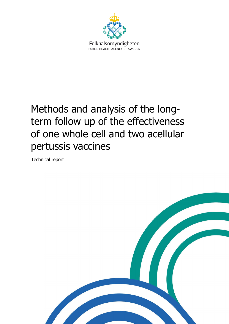

# <span id="page-0-0"></span>Methods and analysis of the longterm follow up of the effectiveness of one whole cell and two acellular pertussis vaccines

Technical report

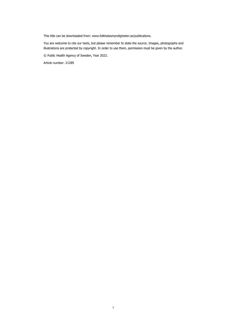This title can be downloaded from: www.folkhalsomyndigheten.se/publications.

You are welcome to cite our texts, but please remember to state the source. Images, photographs and illustrations are protected by copyright. In order to use them, permission must be given by the author.

© Public Health Agency of Sweden, Year 2022.

Article number: 21289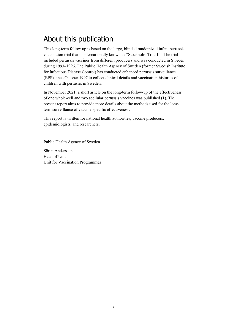## <span id="page-2-0"></span>About this publication

This long-term follow up is based on the large, blinded randomized infant pertussis vaccination trial that is internationally known as "Stockholm Trial II". The trial included pertussis vaccines from different producers and was conducted in Sweden during 1993–1996. The Public Health Agency of Sweden (former Swedish Institute for Infectious Disease Control) has conducted enhanced pertussis surveillance (EPS) since October 1997 to collect clinical details and vaccination histories of children with pertussis in Sweden.

In November 2021, a short article on the long-term follow-up of the effectiveness of one whole-cell and two acellular pertussis vaccines was published (1). The present report aims to provide more details about the methods used for the longterm surveillance of vaccine-specific effectiveness.

This report is written for national health authorities, vaccine producers, epidemiologists, and researchers.

Public Health Agency of Sweden

Sören Andersson Head of Unit Unit for Vaccination Programmes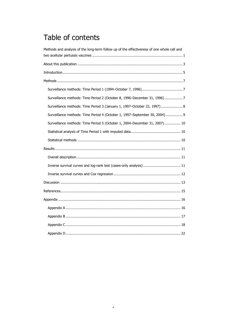## Table of contents

| Methods and analysis of the long-term follow up of the effectiveness of one whole cell and |
|--------------------------------------------------------------------------------------------|
|                                                                                            |
|                                                                                            |
|                                                                                            |
|                                                                                            |
|                                                                                            |
| Surveillance methods: Time Period 2 (October 8, 1996-December 31, 1996)7                   |
| Surveillance methods: Time Period 3 (January 1, 1997-October 22, 1997)  8                  |
| Surveillance methods: Time Period 4 (October 1, 1997-September 30, 2004) 9                 |
| Surveillance methods: Time Period 5 (October 1, 2004-December 31, 2007) 10                 |
|                                                                                            |
|                                                                                            |
|                                                                                            |
|                                                                                            |
|                                                                                            |
|                                                                                            |
|                                                                                            |
|                                                                                            |
|                                                                                            |
|                                                                                            |
|                                                                                            |
|                                                                                            |
|                                                                                            |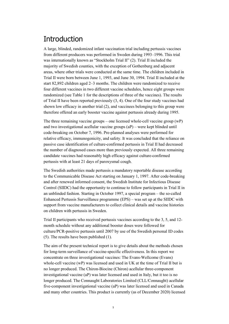## <span id="page-4-0"></span>**Introduction**

A large, blinded, randomized infant vaccination trial including pertussis vaccines from different producers was performed in Sweden during 1993–1996. This trial was internationally known as "Stockholm Trial II" (2). Trial II included the majority of Swedish counties, with the exception of Gothenburg and adjacent areas, where other trials were conducted at the same time. The children included in Trial II were born between June 1, 1993, and June 30, 1994. Trial II included at the start 82,892 children aged 2–3 months. The children were randomized to receive four different vaccines in two different vaccine schedules, hence eight groups were randomized (see Table 1 for the descriptions of three of the vaccines). The results of Trial II have been reported previously (3, 4). One of the four study vaccines had shown low efficacy in another trial (2), and vaccinees belonging to this group were therefore offered an early booster vaccine against pertussis already during 1995.

The three remaining vaccine groups – one licensed whole-cell vaccine group (wP) and two investigational acellular vaccine groups (aP) – were kept blinded until code-breaking on October 7, 1996. Pre-planned analyses were performed for relative efficacy, immunogenicity, and safety. It was concluded that the reliance on passive case identification of culture-confirmed pertussis in Trial II had decreased the number of diagnosed cases more than previously expected. All three remaining candidate vaccines had reasonably high efficacy against culture-confirmed pertussis with at least 21 days of paroxysmal cough.

The Swedish authorities made pertussis a mandatory reportable disease according to the Communicable Disease Act starting on January 1, 1997. After code-breaking and after renewed informed consent, the Swedish Institute for Infectious Disease Control (SIIDC) had the opportunity to continue to follow participants in Trial II in an unblinded fashion. Starting in October 1997, a special program – the so-called Enhanced Pertussis Surveillance programme (EPS) – was set up at the SIIDC with support from vaccine manufacturers to collect clinical details and vaccine histories on children with pertussis in Sweden.

Trial II participants who received pertussis vaccines according to the 3, 5, and 12 month schedule without any additional booster doses were followed for culture/PCR-positive pertussis until 2007 by use of the Swedish personal ID codes (5). The results have been published (1).

The aim of the present technical report is to give details about the methods chosen for long-term surveillance of vaccine-specific effectiveness. In this report we concentrate on three investigational vaccines: The Evans-Wellcome (Evans) whole-cell vaccine (wP) was licensed and used in UK at the time of Trial II but is no longer produced. The Chiron-Biocine (Chiron) acellular three-component investigational vaccine (aP) was later licensed and used in Italy, but it too is no longer produced. The Connaught Laboratories Limited (CLL/Connaught) acellular five-component investigational vaccine (aP) was later licensed and used in Canada and many other countries. This product is currently (as of December 2020) licensed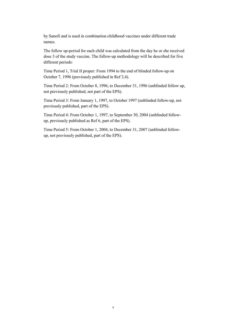by Sanofi and is used in combination childhood vaccines under different trade names.

The follow up-period for each child was calculated from the day he or she received dose 3 of the study vaccine. The follow-up methodology will be described for five different periods:

Time Period 1, Trial II proper: From 1994 to the end of blinded follow-up on October 7, 1996 (previously published in Ref 3,4).

Time Period 2: From October 8, 1996, to December 31, 1996 (unblinded follow up, not previously published, not part of the EPS).

Time Period 3: From January 1, 1997, to October 1997 (unblinded follow-up, not previously published, part of the EPS).

Time Period 4: From October 1, 1997, to September 30, 2004 (unblinded followup, previously published as Ref 6, part of the EPS).

Time Period 5: From October 1, 2004, to December 31, 2007 (unblinded followup, not previously published, part of the EPS).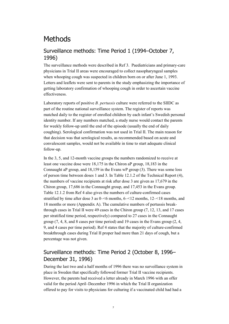## <span id="page-6-0"></span>Methods

#### <span id="page-6-1"></span>Surveillance methods: Time Period 1 (1994–October 7, 1996)

The surveillance methods were described in Ref 3. Paediatricians and primary-care physicians in Trial II areas were encouraged to collect nasopharyngeal samples when whooping cough was suspected in children born on or after June 1, 1993. Letters and leaflets were sent to parents in the study emphasizing the importance of getting laboratory confirmation of whooping cough in order to ascertain vaccine effectiveness.

Laboratory reports of positive *B. pertussis* culture were referred to the SIIDC as part of the routine national surveillance system. The register of reports was matched daily to the register of enrolled children by each infant's Swedish personal identity number. If any numbers matched, a study nurse would contact the parents for weekly follow-up until the end of the episode (usually the end of daily coughing). Serological confirmation was not used in Trial II. The main reason for that decision was that serological results, as recommended based on acute and convalescent samples, would not be available in time to start adequate clinical follow-up.

In the 3, 5, and 12-month vaccine groups the numbers randomized to receive at least one vaccine dose were 18,175 in the Chiron aP group, 18,183 in the Connaught aP group, and 18,159 in the Evans wP group (3). There was some loss of person time between doses 1 and 3. In Table 12.1.2 of the Technical Report (4), the numbers of vaccine recipients at risk after dose 3 are given as 17,679 in the Chiron group, 17,686 in the Connaught group, and 17,453 in the Evans group. Table 12.1.2 from Ref 4 also gives the numbers of culture-confirmed cases stratified by time after dose 3 as 0–<6 months, 6–<12 months, 12–<18 months, and 18 months or more (Appendix A). The cumulative numbers of pertussis breakthrough cases in Trial II were 49 cases in the Chiron group (7, 12, 13, and 17 cases per stratified time period, respectively) compared to 27 cases in the Connaught group (7, 4, 8, and 8 cases per time period) and 19 cases in the Evans group (2, 4, 9, and 4 cases per time period). Ref 4 states that the majority of culture-confirmed breakthrough cases during Trial II proper had more than 21 days of cough, but a percentage was not given.

### <span id="page-6-2"></span>Surveillance methods: Time Period 2 (October 8, 1996– December 31, 1996)

During the last two and a half months of 1996 there was no surveillance system in place in Sweden that specifically followed former Trial II vaccine recipients. However, the parents had received a letter already in March 1996 with an offer valid for the period April–December 1996 in which the Trial II organization offered to pay for visits to physicians for culturing if a vaccinated child had had a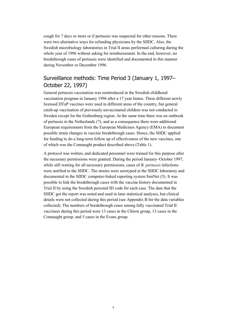cough for 7 days or more or if pertussis was suspected for other reasons. There were two alternative ways for refunding physicians by the SIIDC. Also, the Swedish microbiology laboratories in Trial II areas performed culturing during the whole year of 1996 without asking for reimbursement. In the end, however, no breakthrough cases of pertussis were identified and documented in this manner during November or December 1996.

#### <span id="page-7-0"></span>Surveillance methods: Time Period 3 (January 1, 1997– October 22, 1997)

General pertussis vaccination was reintroduced in the Swedish childhood vaccination program in January 1996 after a 17 year hiatus. Three different newly licensed DTaP vaccines were used in different areas of the country, but general catch-up vaccination of previously unvaccinated children was not conducted in Sweden except for the Gothenburg region. At the same time there was an outbreak of pertussis in the Netherlands (7), and as a consequence there were additional European requirements from the European Medicines Agency (EMA) to document possible strain changes in vaccine breakthrough cases. Hence, the SIIDC applied for funding to do a long-term follow up of effectiveness of the new vaccines, one of which was the Connaught product described above (Table 1).

A protocol was written, and dedicated personnel were trained for this purpose after the necessary permissions were granted. During the period January–October 1997, while still waiting for all necessary permissions, cases of *B. pertussis* infections were notified to the SIIDC. The strains were serotyped at the SIIDC laboratory and documented in the SIIDC computer-linked reporting system SmiNet (5). It was possible to link the breakthrough cases with the vaccine history documented in Trial II by using the Swedish personal ID code for each case. The date that the SIIDC got the report was noted and used in later statistical analyses, but clinical details were not collected during this period (see Appendix B for the data variables collected). The numbers of breakthrough cases among fully vaccinated Trial II vaccinees during this period were 13 cases in the Chiron group, 13 cases in the Connaught group, and 5 cases in the Evans group.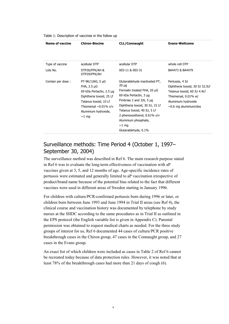| Name of vaccine             | <b>Chiron-Biocine</b>                                                                                                                                                                             | <b>CLL/Connaught</b>                                                                                                                                                                                                                                                                                              | <b>Evans-Wellcome</b>                                                                                                                                           |
|-----------------------------|---------------------------------------------------------------------------------------------------------------------------------------------------------------------------------------------------|-------------------------------------------------------------------------------------------------------------------------------------------------------------------------------------------------------------------------------------------------------------------------------------------------------------------|-----------------------------------------------------------------------------------------------------------------------------------------------------------------|
| Type of vaccine<br>Lots No. | acellular DTP<br>DTP26/PFK/AH &<br>DTP29/PFK/AH                                                                                                                                                   | acellular DTP<br>003-11 & 003-31                                                                                                                                                                                                                                                                                  | whole cell DTP<br>BA4473 & BA4479                                                                                                                               |
| Contain per dose:           | $PT-9K/126G, 5 \mu G$<br>FHA, $2.5 \mu G$<br>69 kDa Pertactin, 2.5 µg<br>Diphtheria toxoid, 25 Lf<br>Tetanus toxoid, 10 Lf<br>Thiomersal $\sim 0.01\%$ v/v<br>Aluminium hydroxide,<br>$\sim$ 1 mg | Glutaraldehyde inactivated PT,<br>$20 \mu g$<br>Formalin treated FHA, 20 µG<br>69 kDa Pertactin, $3 \mu q$<br>Fimbriae 2 and $3/6$ , 5 $\mu$ g<br>Diphtheria toxoid, 30 IU, 15 Lf<br>Tetanus toxoid, 40 IU, 5 Lf<br>2-phenoxyethanol, $0.61\%$ v/v<br>Aluminium phosphate,<br>$\sim$ 1 mg<br>Glutaraldehyde, 0.1% | Pertussis, 4 IU<br>Diphtheria toxoid, 30 IU 32.5Lf<br>Tetanus toxoid, 60 IU 4.4Lf<br>Thiomersal, 0.01% w/<br>Aluminium hydroxide<br>$\sim$ 0.6 mg aluminium/dos |

#### Table 1: Description of vaccines in the follow up

### <span id="page-8-0"></span>Surveillance methods: Time Period 4 (October 1, 1997– September 30, 2004)

The surveillance method was described in Ref 6. The main research purpose stated in Ref 6 was to evaluate the long-term effectiveness of vaccination with aP vaccines given at 3, 5, and 12 months of age. Age-specific incidence rates of pertussis were estimated and generally limited to aP vaccination irrespective of product/brand name because of the potential bias related to the fact that different vaccines were used in different areas of Sweden starting in January 1996.

For children with culture/PCR-confirmed pertussis born during 1996 or later, or children born between June 1993 and June 1994 in Trial II areas (see Ref 4), the clinical course and vaccination history was documented by telephone by study nurses at the SIIDC according to the same procedures as in Trial II as outlined in the EPS protocol (the English variable list is given in Appendix C). Parental permission was obtained to request medical charts as needed. For the three study groups of interest for us, Ref 6 documented 44 cases of culture/PCR positive breakthrough cases in the Chiron group, 47 cases in the Connaught group, and 27 cases in the Evans group.

An exact list of which children were included as cases in Table 2 of Ref 6 cannot be recreated today because of data protection rules. However, it was noted that at least 78% of the breakthrough cases had more than 21 days of cough (6).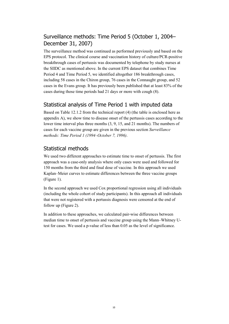### <span id="page-9-0"></span>Surveillance methods: Time Period 5 (October 1, 2004– December 31, 2007)

The surveillance method was continued as performed previously and based on the EPS protocol. The clinical course and vaccination history of culture/PCR-positive breakthrough cases of pertussis was documented by telephone by study nurses at the SIIDC as mentioned above. In the current EPS dataset that combines Time Period 4 and Time Period 5, we identified altogether 186 breakthrough cases, including 58 cases in the Chiron group, 76 cases in the Connaught group, and 52 cases in the Evans group. It has previously been published that at least 83% of the cases during those time periods had 21 days or more with cough (8).

#### <span id="page-9-1"></span>Statistical analysis of Time Period 1 with imputed data

Based on Table 12.1.2 from the technical report (4) (the table is enclosed here as appendix A), we show time to disease onset of the pertussis cases according to the lower time interval plus three months (3, 9, 15, and 21 months). The numbers of cases for each vaccine group are given in the previous section *Surveillance methods: Time Period 1 (1994–October 7, 1996)*.

#### <span id="page-9-2"></span>Statistical methods

We used two different approaches to estimate time to onset of pertussis. The first approach was a case-only analysis where only cases were used and followed for 150 months from the third and final dose of vaccine. In this approach we used Kaplan–Meier curves to estimate differences between the three vaccine groups (Figure 1).

In the second approach we used Cox proportional regression using all individuals (including the whole cohort of study participants). In this approach all individuals that were not registered with a pertussis diagnosis were censored at the end of follow up (Figure 2).

In addition to these approaches, we calculated pair-wise differences between median time to onset of pertussis and vaccine group using the Mann–Whitney Utest for cases. We used a p-value of less than 0.05 as the level of significance.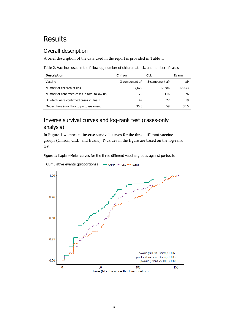## <span id="page-10-0"></span>Results

### <span id="page-10-1"></span>Overall description

A brief description of the data used in the report is provided in Table 1.

Table 2. Vaccines used in the follow up, number of children at risk, and number of cases

| <b>Description</b>                           | <b>Chiron</b>  | <b>CLL</b>     | <b>Evans</b> |
|----------------------------------------------|----------------|----------------|--------------|
| Vaccine                                      | 3 component aP | 5-component aP | wP           |
| Number of children at risk                   | 17,679         | 17.686         | 17,453       |
| Number of confirmed cases in total follow up | 120            | 116            | 76           |
| Of which were confirmed cases in Trial II    | 49             | 27             | 19           |
| Median time (months) to pertussis onset      | 35.5           | 59             | 60.5         |

### <span id="page-10-2"></span>Inverse survival curves and log-rank test (cases-only analysis)

In Figure 1 we present inverse survival curves for the three different vaccine groups (Chiron, CLL, and Evans). P-values in the figure are based on the log-rank test.



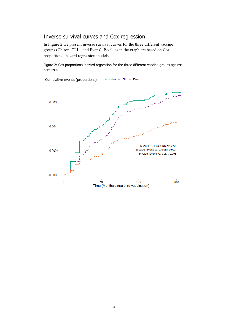#### <span id="page-11-0"></span>Inverse survival curves and Cox regression

In Figure 2 we present inverse survival curves for the three different vaccine groups (Chiron, CLL, and Evans). P-values in the graph are based on Cox proportional hazard regression models.

Figure 2: Cox proportional hazard regression for the three different vaccine groups against pertussis.

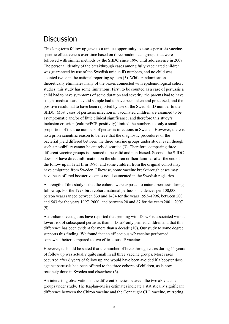### <span id="page-12-0"></span>**Discussion**

This long-term follow up gave us a unique opportunity to assess pertussis vaccinespecific effectiveness over time based on three randomized groups that were followed with similar methods by the SIIDC since 1996 until adolescence in 2007. The personal identity of the breakthrough cases among fully vaccinated children was guaranteed by use of the Swedish unique ID numbers, and no child was counted twice in the national reporting system (5). While randomization theoretically eliminates many of the biases connected with epidemiological cohort studies, this study has some limitations. First, to be counted as a case of pertussis a child had to have symptoms of some duration and severity, the parents had to have sought medical care, a valid sample had to have been taken and processed, and the positive result had to have been reported by use of the Swedish ID number to the SIIDC. Most cases of pertussis infection in vaccinated children are assumed to be asymptomatic and/or of little clinical significance, and therefore this study's inclusion criterion (culture/PCR positivity) limited the numbers to only a small proportion of the true numbers of pertussis infections in Sweden. However, there is no a priori scientific reason to believe that the diagnostic procedures or the bacterial yield differed between the three vaccine groups under study, even though such a possibility cannot be entirely discarded (3). Therefore, comparing three different vaccine groups is assumed to be valid and non-biased. Second, the SIIDC does not have direct information on the children or their families after the end of the follow up in Trial II in 1996, and some children from the original cohort may have emigrated from Sweden. Likewise, some vaccine breakthrough cases may have been offered booster vaccines not documented in the Swedish registries.

A strength of this study is that the cohorts were exposed to natural pertussis during follow up. For the 1993 birth cohort, national pertussis incidences per 100,000 person years ranged between 839 and 1484 for the years 1993–1996, between 203 and 543 for the years 1997–2000, and between 20 and 87 for the years 2001–2007 (9).

Australian investigators have reported that priming with DTwP is associated with a lower risk of subsequent pertussis than in DTaP-only primed children and that this difference has been evident for more than a decade (10). Our study to some degree supports this finding. We found that an efficacious wP vaccine performed somewhat better compared to two efficacious aP vaccines.

However, it should be stated that the number of breakthrough cases during 11 years of follow up was actually quite small in all three vaccine groups. Most cases occurred after 6 years of follow up and would have been avoided if a booster dose against pertussis had been offered to the three cohorts of children, as is now routinely done in Sweden and elsewhere (6).

An interesting observation is the different kinetics between the two aP vaccine groups under study. The Kaplan–Meier estimates indicate a statistically significant difference between the Chiron vaccine and the Connaught CLL vaccine, mirroring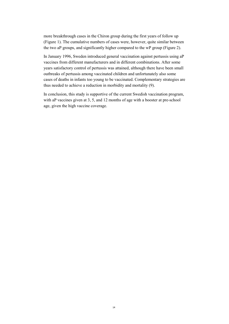more breakthrough cases in the Chiron group during the first years of follow up (Figure 1). The cumulative numbers of cases were, however, quite similar between the two aP groups, and significantly higher compared to the wP group (Figure 2).

In January 1996, Sweden introduced general vaccination against pertussis using aP vaccines from different manufacturers and in different combinations. After some years satisfactory control of pertussis was attained, although there have been small outbreaks of pertussis among vaccinated children and unfortunately also some cases of deaths in infants too young to be vaccinated. Complementary strategies are thus needed to achieve a reduction in morbidity and mortality (9).

In conclusion, this study is supportive of the current Swedish vaccination program, with aP vaccines given at 3, 5, and 12 months of age with a booster at pre-school age, given the high vaccine coverage.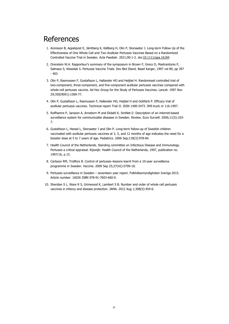### <span id="page-14-0"></span>References

- 1. Aronsson B, Appelqvist E, Jämtberg K, Källberg H, Olin P, Storsaeter J. Long-term Follow Up of the Effectiveness of One Whole Cell and Two Acellular Pertussis Vaccines Based on a Randomized Controlled Vaccine Trial in Sweden. Acta Paediatr. 2021;00:1-2. doi:10.1111/apa.16184
- 2. Orenstein W.A. Rapporteur's summary of the symposium in Brown F, Greco D, Mastrantonio P, Salmaso S, Wassilak S. Pertussis Vaccine Trials. Dev Biol Stand. Basel Karger, 1997 vol 89, pp 397  $-403$
- 3. Olin P, Rasmussen F, Gustafsson L, Hallander HO and Heijbel H. Randomised controlled trial of two-component, three-component, and five-component acellular pertussis vaccines compared with whole-cell pertussis vaccine. Ad Hoc Group for the Study of Pertussis Vaccines. Lancet. 1997 Nov 29;350(9091):1569-77.
- 4. Olin P, Gustafsson L, Rasmussen F, Hallander HO, Heijbel H and Gottfarb P. Efficacy trial of acellular pertussis vaccines. Technical report Trial II. ISSN 1400-3473. SMI-tryck nr 116-1997.
- 5. Rolfhamre P, Jansson A, Arneborn M and Ekdahl K. SmiNet-2: Description of an internet-based surveillance system for communicable diseases in Sweden. Review. Euro Surveill. 2006;11(5):103- 7.
- 6. Gustafsson L, Hessel L, Storsaeter J and Olin P. Long-term follow-up of Swedish children vaccinated with acellular pertussis vaccines at 3, 5, and 12 months of age indicates the need for a booster dose at 5 to 7 years of age. Pediatrics. 2006 Sep;118(3):978-84.
- 7. Health Council of the Netherlands. Standing committee on Infectious Disease and Immunology. Pertussis a critical appraisal. Rijswijk: Health Council of the Netherlands, 1997, publication no. 1997/16, p 15.
- 8. Carlsson RM, Trollfors B. Control of pertussis–lessons learnt from a 10-year surveillance programme in Sweden. Vaccine. 2009 Sep 25;27(42):5709-18.
- 9. Pertussis surveillance in Sweden seventeen year report. Folkhälsomyndigheten Sverige.2015. Article number: 16026 ISBN 978-91-7603-660-0.
- 10. Sheridan S L, Ware R S, Grimwood K, Lambert S B. Number and order of whole cell pertussis vaccines in infancy and disease protection. JAMA. 2012 Aug 1;308(5):454-6.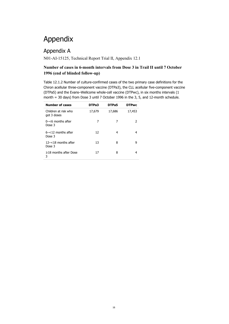## <span id="page-15-0"></span>Appendix

### <span id="page-15-1"></span>Appendix A

N01-AI-15125, Technical Report Trial II, Appendix 12.1

#### **Number of cases in 6-month intervals from Dose 3 in Trail II until 7 October 1996 (end of blinded follow-up)**

Table 12.1.2 Number of culture-confirmed cases of the two primary case definitions for the Chiron acellular three-component vaccine (DTPa3), the CLL acellular five-component vaccine (DTPa5) and the Evans–Wellcome whole-cell vaccine (DTPwc), in six months intervals (1 month = 30 days) from Dose 3 until 7 October 1996 in the 3, 5, and 12-month schedule.

| <b>Number of cases</b>              | DTPa3  | DTPa5  | <b>DTPwc</b> |
|-------------------------------------|--------|--------|--------------|
| Children at risk who<br>got 3 doses | 17,679 | 17,686 | 17,453       |
| $0$ -<6 months after<br>Dose 3      | 7      | 7      | 2            |
| $6 - 12$ months after<br>Dose 3     | 12     | 4      | 4            |
| $12 - < 18$ months after<br>Dose 3  | 13     | 8      | 9            |
| $\geq$ 18 months after Dose<br>3    | 17     | 8      |              |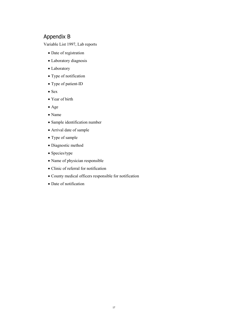#### <span id="page-16-0"></span>Appendix B

Variable List 1997, Lab reports

- Date of registration
- Laboratory diagnosis
- Laboratory
- Type of notification
- Type of patient-ID
- Sex
- Year of birth
- Age
- Name
- Sample identification number
- Arrival date of sample
- Type of sample
- Diagnostic method
- Species/type
- Name of physician responsible
- Clinic of referral for notification
- County medical officers responsible for notification
- Date of notification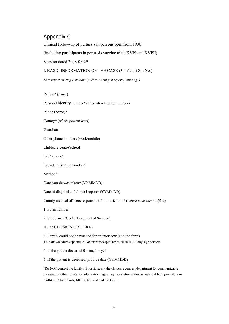#### <span id="page-17-0"></span>Appendix C

Clinical follow-up of pertussis in persons born from 1996

(including participants in pertussis vaccine trials KVPI and KVPII)

Version dated 2008-08-29

I. BASIC INFORMATION OF THE CASE (\* = field i SmiNet)

*88 = report missing ("no data"), 99 = missing in report ("missing")*

Patient\* (name)

Personal identity number\* (alternatively other number)

Phone (home)\*

County\* (*where patient lives*)

Guardian

Other phone numbers (work/mobile)

Childcare centre/school

Lab\* (name)

Lab-identification number\*

Method\*

Date sample was taken\* (YYMMDD)

Date of diagnosis of clinical report\* (YYMMDD)

County medical officers responsible for notification\* (*where case was notified*)

1. Form number

2. Study area (Gothenburg, rest of Sweden)

#### II. EXCLUSION CRITERIA

3. Family could not be reached for an interview (end the form)

1 Unknown address/phone, 2 No answer despite repeated calls, 3 Language barriers

4. Is the patient deceased  $0 = no$ ,  $1 = yes$ 

5. If the patient is deceased, provide date (YYMMDD)

(Do NOT contact the family. If possible, ask the childcare centres, department for communicable diseases, or other source for information regarding vaccination status including if born premature or "full-term" for infants, fill out #55 and end the form.)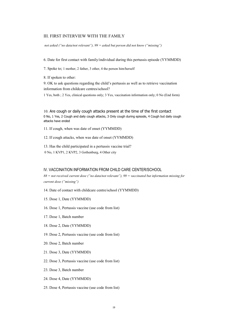#### III. FIRST INTERVIEW WITH THE FAMILY

*not asked ("no data/not relevant"), 99 = asked but person did not know ("missing")* 

6. Date for first contact with family/individual during this pertussis episode (YYMMDD)

7. Spoke to; 1 mother, 2 father, 3 other, 4 the person him/herself

8. If spoken to other:

9. OK to ask questions regarding the child's pertussis as well as to retrieve vaccination information from childcare centres/school?

1 Yes, both ; 2 Yes, clinical questions only; 3 Yes, vaccination information only; 0 No (End form)

10. Are cough or daily cough attacks present at the time of the first contact 0 No, 1 Yes, 2 Cough and daily cough attacks, 3 Only cough during episode, 4 Cough but daily cough attacks have ended

11. If cough, when was date of onset (YYMMDD)

12. If cough attacks, when was date of onset (YYMMDD)

13. Has the child participated in a pertussis vaccine trial? 0 No, 1 KVP1, 2 KVP2, 3 Gothenburg, 4 Other city

#### IV. VACCINATION INFORMATION FROM CHILD CARE CENTER/SCHOOL

*88 = not received current dose ("no data/not relevant"), 99 = vaccinated but information missing for current dose ("missing")*

14. Date of contact with childcare centre/school (YYMMDD)

- 15. Dose 1, Date (YYMMDD)
- 16. Dose 1, Pertussis vaccine (use code from list)
- 17. Dose 1, Batch number
- 18. Dose 2, Date (YYMMDD)
- 19. Dose 2, Pertussis vaccine (use code from list)
- 20. Dose 2, Batch number
- 21. Dose 3, Date (YYMMDD)
- 22. Dose 3, Pertussis vaccine (use code from list)
- 23. Dose 3, Batch number
- 24. Dose 4, Date (YYMMDD)
- 25. Dose 4, Pertussis vaccine (use code from list)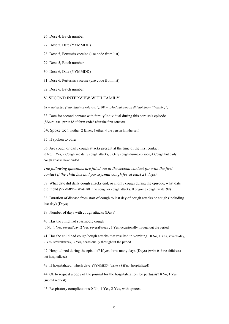- 26. Dose 4, Batch number
- 27. Dose 5, Date (YYMMDD)
- 28. Dose 5, Pertussis vaccine (use code from list)
- 29. Dose 5, Batch number
- 30. Dose 6, Date (YYMMDD)

31. Dose 6, Pertussis vaccine (use code from list)

32. Dose 6, Batch number

#### V. SECOND INTERVIEW WITH FAMILY

*88 = not asked ("no data/not relevant"), 99 = asked but person did not know ("missing")*

33. Date for second contact with family/individual during this pertussis episode (ÅÅMMDD) (write 88 if form ended after the first contact)

34. Spoke to; 1 mother, 2 father, 3 other, 4 the person him/herself

35. If spoken to other

36. Are cough or daily cough attacks present at the time of the first contact 0 No, 1 Yes, 2 Cough and daily cough attacks, 3 Only cough during episode, 4 Cough but daily cough attacks have ended

*The following questions are filled out at the second contact (or with the first contact if the child has had paroxysmal cough for at least 21 days)*

37. What date did daily cough attacks end, or if only cough during the episode, what date did it end (YYMMDD) (Write 88 if no cough or cough attacks. If ongoing cough, write 99)

38. Duration of disease from start of cough to last day of cough attacks or cough (including last day) (Days)

39. Number of days with cough attacks (Days)

40. Has the child had spasmodic cough

0 No, 1 Yes, several/day, 2 Yes, several/week , 3 Yes, occasionally throughout the period

41. Has the child had cough/cough attacks that resulted in vomiting, 0 No, 1 Yes, several/day, 2 Yes, several/week, 3 Yes, occasionally throughout the period

42. Hospitalized during the episode? If yes, how many days (Days) (write 0 if the child was not hospitalized)

43. If hospitalized, which date (YYMMDD) (write 88 if not hospitalized)

44. Ok to request a copy of the journal for the hospitalization for pertussis? 0 No, 1 Yes (submit request)

45. Respiratory complications 0 No, 1 Yes, 2 Yes, with apnoea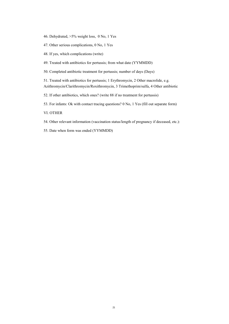- 46. Dehydrated, >5% weight loss, 0 No, 1 Yes
- 47. Other serious complications, 0 No, 1 Yes
- 48. If yes, which complications (write)
- 49. Treated with antibiotics for pertussis; from what date (YYMMDD)
- 50. Completed antibiotic treatment for pertussis; number of days (Days)
- 51. Treated with antibiotics for pertussis; 1 Erythromycin, 2 Other macrolide, e.g. Azithromycin/Clarithromycin/Roxithromycin, 3 Trimethoprim/sulfa, 4 Other antibiotic
- 52. If other antibiotics, which ones? (write 88 if no treatment for pertussis)
- 53. For infants: Ok with contact tracing questions? 0 No, 1 Yes (fill out separate form)
- VI. OTHER
- 54. Other relevant information (vaccination status/length of pregnancy if deceased, etc.):
- 55. Date when form was ended (YYMMDD)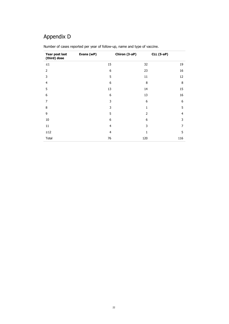### <span id="page-21-0"></span>Appendix D

| Year post last<br>(third) dose | Evans (wP)     | Chiron (3-aP) | <b>CLL (5-aP)</b> |
|--------------------------------|----------------|---------------|-------------------|
| $\leq\!1$                      | 15             | 32            | 19                |
| $\overline{2}$                 | 6              | 23            | 16                |
| 3                              | 5              | 11            | 12                |
| $\overline{4}$                 | 6              | 8             | 8                 |
| 5                              | 13             | 14            | 15                |
| 6                              | 6              | 13            | 16                |
| 7                              | 3              | 6             | 6                 |
| 8                              | 3              | 1             | 5                 |
| 9                              | 5              | 2             | 4                 |
| 10                             | 6              | 6             | 3                 |
| 11                             | $\overline{4}$ | 3             | $\overline{7}$    |
| $\geq$ 12                      | $\overline{4}$ | 1             | 5                 |
| Total                          | 76             | 120           | 116               |

Number of cases reported per year of follow-up, name and type of vaccine.